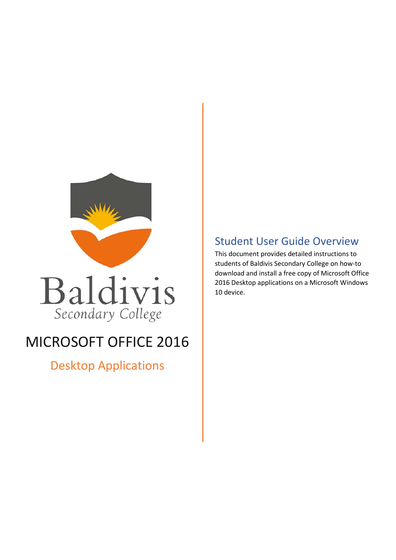



# MICROSOFT OFFICE 2016

Desktop Applications

## Student User Guide Overview

This document provides detailed instructions to students of Baldivis Secondary College on how-to download and install a free copy of Microsoft Office 2016 Desktop applications on a Microsoft Windows 10 device.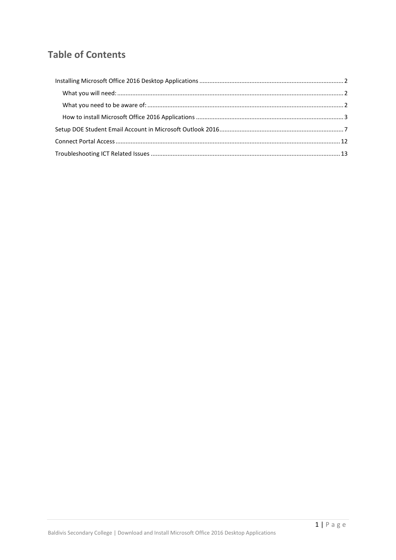## **Table of Contents**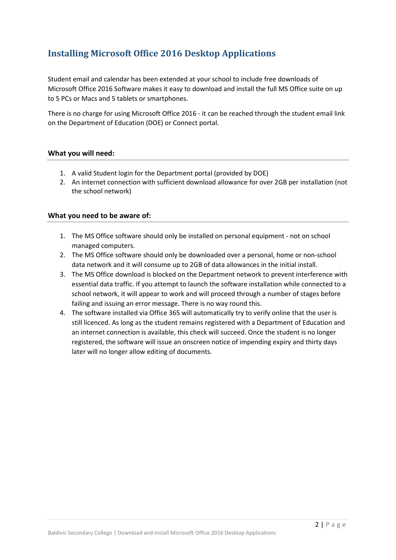## <span id="page-2-0"></span>**Installing Microsoft Office 2016 Desktop Applications**

Student email and calendar has been extended at your school to include free downloads of Microsoft Office 2016 Software makes it easy to download and install the full MS Office suite on up to 5 PCs or Macs and 5 tablets or smartphones.

There is no charge for using Microsoft Office 2016 - it can be reached through the student email link on the Department of Education (DOE) or Connect portal.

#### <span id="page-2-1"></span>**What you will need:**

- 1. A valid Student login for the Department portal (provided by DOE)
- 2. An internet connection with sufficient download allowance for over 2GB per installation (not the school network)

#### <span id="page-2-2"></span>**What you need to be aware of:**

- 1. The MS Office software should only be installed on personal equipment not on school managed computers.
- 2. The MS Office software should only be downloaded over a personal, home or non-school data network and it will consume up to 2GB of data allowances in the initial install.
- 3. The MS Office download is blocked on the Department network to prevent interference with essential data traffic. If you attempt to launch the software installation while connected to a school network, it will appear to work and will proceed through a number of stages before failing and issuing an error message. There is no way round this.
- 4. The software installed via Office 365 will automatically try to verify online that the user is still licenced. As long as the student remains registered with a Department of Education and an internet connection is available, this check will succeed. Once the student is no longer registered, the software will issue an onscreen notice of impending expiry and thirty days later will no longer allow editing of documents.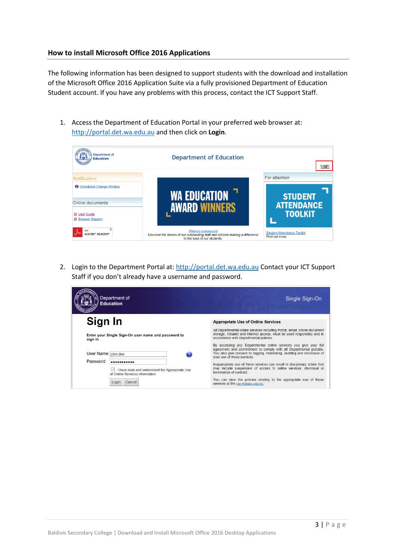#### <span id="page-3-0"></span>**How to install Microsoft Office 2016 Applications**

The following information has been designed to support students with the download and installation of the Microsoft Office 2016 Application Suite via a fully provisioned Department of Education Student account. If you have any problems with this process, contact the ICT Support Staff.

1. Access the Department of Education Portal in your preferred web browser at: [http://portal.det.wa.edu.au](http://portal.det.wa.edu.au/) and then click on **Login**.



2. Login to the Department Portal at[: http://portal.det.wa.edu.au](http://portal.det.wa.edu.au/) Contact your ICT Support Staff if you don't already have a username and password.

| Department of<br>Education                                                                   | Single Sign-On                                                                                                                                                                                                                                    |
|----------------------------------------------------------------------------------------------|---------------------------------------------------------------------------------------------------------------------------------------------------------------------------------------------------------------------------------------------------|
| Sign In                                                                                      | <b>Appropriate Use of Online Services</b>                                                                                                                                                                                                         |
| Enter your Single Sign-On user name and password to<br>sign in                               | All Departmental online services including Portal, email, online document<br>storage, Intranet and Internet access, must be used responsibly and in<br>accordance with Departmental policies.                                                     |
| User Name  john.doe                                                                          | By accessing any Departmental online services you give your full<br>agreement and commitment to comply with all Departmental policies.<br>You also give consent to logging, monitoring, auditing and disclosure of<br>vour use of these services. |
| Password<br>I have read and understand the Appropriate Use<br>of Online Services information | Inappropriate use of these services can result in disciplinary action that<br>may include suspension of access to online services, dismissal or<br>termination of contract.                                                                       |
| Cance<br>Loair                                                                               | You can view the policies relating to the appropriate use of these<br>services at the Our Policies website.                                                                                                                                       |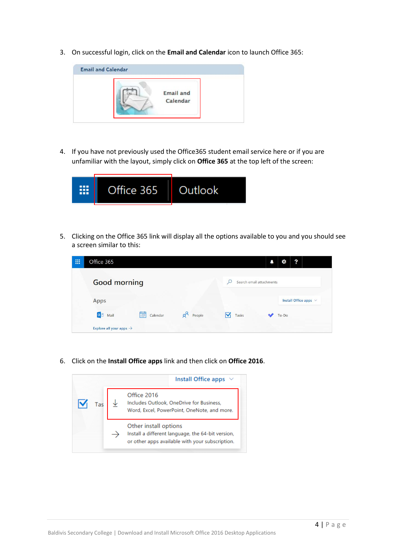3. On successful login, click on the **Email and Calendar** icon to launch Office 365:



4. If you have not previously used the Office365 student email service here or if you are unfamiliar with the layout, simply click on **Office 365** at the top left of the screen:



5. Clicking on the Office 365 link will display all the options available to you and you should see a screen similar to this:

| 冊 | Office 365                          |               |                 |                          | ?<br>Ö                     |
|---|-------------------------------------|---------------|-----------------|--------------------------|----------------------------|
|   | <b>Good morning</b>                 |               |                 | Search email attachments |                            |
|   | Apps                                |               |                 |                          | Install Office apps $\vee$ |
|   | 0 Mail                              | 繭<br>Calendar | $R^8$<br>People | Tasks                    | To-Do                      |
|   | Explore all your apps $\rightarrow$ |               |                 |                          |                            |

6. Click on the **Install Office apps** link and then click on **Office 2016**.

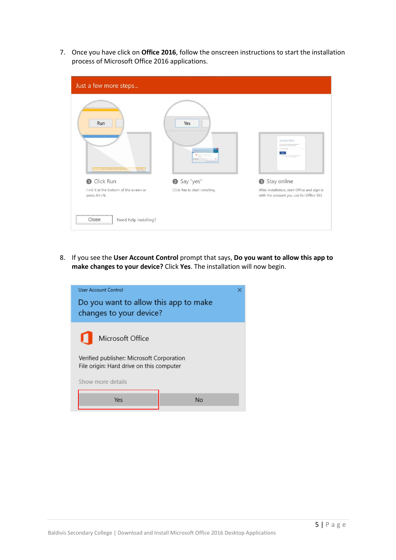7. Once you have click on **Office 2016**, follow the onscreen instructions to start the installation process of Microsoft Office 2016 applications.

| Just a few more steps                                                                                                                              |                                 |                                                                                         |
|----------------------------------------------------------------------------------------------------------------------------------------------------|---------------------------------|-----------------------------------------------------------------------------------------|
| Run<br>$\frac{1}{\left\  \mathbf{a}^{\top}\mathbf{b}^{\top}\right\ _{2}^{2}}=\frac{1}{\left\  \mathbf{a}^{\top}\mathbf{b}^{\top}\right\ _{2}^{2}}$ | Yes<br>$\sigma_{\frac{1}{n+1}}$ | Activate Office                                                                         |
| Click Run<br>$\bullet$                                                                                                                             | Say "yes"                       | Stay online<br>◉                                                                        |
| Find it at the bottom of the screen or<br>press Alt+N.                                                                                             | Click Yes to start installing.  | After installation, start Office and sign in<br>with the account you use for Office 365 |
| Need help installing?<br>Close                                                                                                                     |                                 |                                                                                         |

8. If you see the **User Account Control** prompt that says, **Do you want to allow this app to make changes to your device?** Click **Yes**. The installation will now begin.

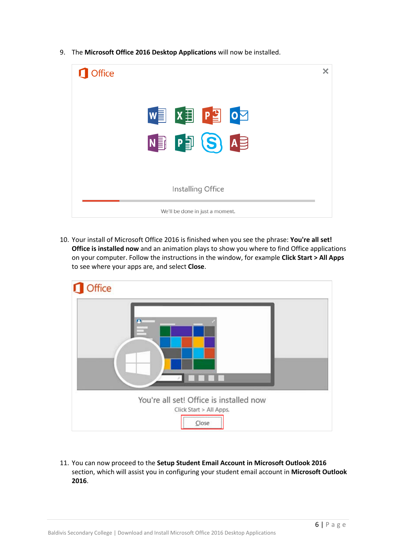- × **n** Office  $\begin{bmatrix} \mathbf{w} \end{bmatrix}$   $\begin{bmatrix} \mathbf{x} \end{bmatrix}$  $P_2^T$   $o_2^T$ N<sub>3</sub> P<sub>3</sub> (S Installing Office We'll be done in just a moment.
- 9. The **Microsoft Office 2016 Desktop Applications** will now be installed.

10. Your install of Microsoft Office 2016 is finished when you see the phrase: **You're all set! Office is installed now** and an animation plays to show you where to find Office applications on your computer. Follow the instructions in the window, for example **Click Start > All Apps** to see where your apps are, and select **Close**.



11. You can now proceed to the **Setup Student Email Account in Microsoft Outlook 2016** section, which will assist you in configuring your student email account in **Microsoft Outlook 2016**.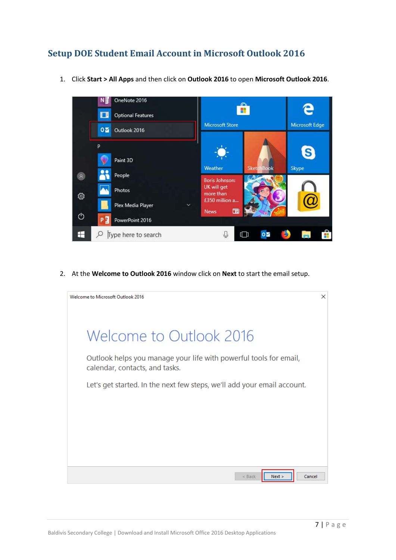## <span id="page-7-0"></span>**Setup DOE Student Email Account in Microsoft Outlook 2016**



1. Click **Start > All Apps** and then click on **Outlook 2016** to open **Microsoft Outlook 2016**.

2. At the **Welcome to Outlook 2016** window click on **Next** to start the email setup.

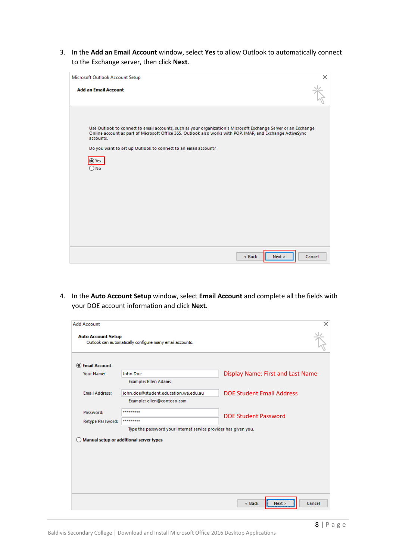3. In the **Add an Email Account** window, select **Yes** to allow Outlook to automatically connect to the Exchange server, then click **Next**.

| Microsoft Outlook Account Setup                                                                                                                                                                                                                                                                            | ×      |
|------------------------------------------------------------------------------------------------------------------------------------------------------------------------------------------------------------------------------------------------------------------------------------------------------------|--------|
| <b>Add an Email Account</b>                                                                                                                                                                                                                                                                                |        |
| Use Outlook to connect to email accounts, such as your organization's Microsoft Exchange Server or an Exchange<br>Online account as part of Microsoft Office 365. Outlook also works with POP, IMAP, and Exchange ActiveSync<br>accounts.<br>Do you want to set up Outlook to connect to an email account? |        |
| $\odot$ Yes<br>) No                                                                                                                                                                                                                                                                                        |        |
|                                                                                                                                                                                                                                                                                                            |        |
| Next ><br>$<$ Back                                                                                                                                                                                                                                                                                         | Cancel |

4. In the **Auto Account Setup** window, select **Email Account** and complete all the fields with your DOE account information and click **Next**.

| <b>Add Account</b>        |                                                                 | ×                                        |
|---------------------------|-----------------------------------------------------------------|------------------------------------------|
| <b>Auto Account Setup</b> | Outlook can automatically configure many email accounts.        |                                          |
| <b>IDE Email Account</b>  |                                                                 |                                          |
| Your Name:                | <b>John Doe</b>                                                 | <b>Display Name: First and Last Name</b> |
|                           | <b>Example: Ellen Adams</b>                                     |                                          |
| <b>Email Address:</b>     | john.doe@student.education.wa.edu.au                            | <b>DOF Student Email Address</b>         |
|                           | Example: ellen@contoso.com                                      |                                          |
| Password:                 | *********                                                       |                                          |
| Retype Password:          | *********                                                       | <b>DOE Student Password</b>              |
|                           | Type the password your Internet service provider has given you. |                                          |
|                           | Manual setup or additional server types                         |                                          |
|                           |                                                                 |                                          |
|                           |                                                                 |                                          |
|                           |                                                                 |                                          |
|                           |                                                                 |                                          |
|                           |                                                                 |                                          |
|                           |                                                                 |                                          |
|                           |                                                                 | Next ><br>Cancel<br>$<$ Back             |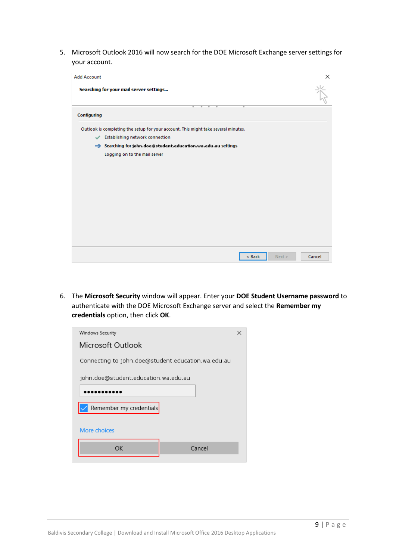5. Microsoft Outlook 2016 will now search for the DOE Microsoft Exchange server settings for your account.

| <b>Add Account</b> |                                                                                    | ×      |
|--------------------|------------------------------------------------------------------------------------|--------|
|                    | Searching for your mail server settings                                            |        |
| Configuring        |                                                                                    |        |
|                    | Outlook is completing the setup for your account. This might take several minutes. |        |
|                    | Establishing network connection                                                    |        |
|                    | Searching for john.doe@student.education.wa.edu.au settings                        |        |
|                    | Logging on to the mail server                                                      |        |
|                    |                                                                                    |        |
|                    |                                                                                    |        |
|                    |                                                                                    |        |
|                    |                                                                                    |        |
|                    |                                                                                    |        |
|                    |                                                                                    |        |
|                    |                                                                                    |        |
|                    |                                                                                    |        |
|                    |                                                                                    |        |
|                    |                                                                                    |        |
|                    | < Back<br>Next >                                                                   | Cancel |

6. The **Microsoft Security** window will appear. Enter your **DOE Student Username password** to authenticate with the DOE Microsoft Exchange server and select the **Remember my credentials** option, then click **OK**.

| Windows Security                                   | × |  |  |  |
|----------------------------------------------------|---|--|--|--|
| Microsoft Outlook                                  |   |  |  |  |
| Connecting to john.doe@student.education.wa.edu.au |   |  |  |  |
| john.doe@student.education.wa.edu.au               |   |  |  |  |
|                                                    |   |  |  |  |
| Remember my credentials                            |   |  |  |  |
| More choices                                       |   |  |  |  |
| Cancel<br>OК                                       |   |  |  |  |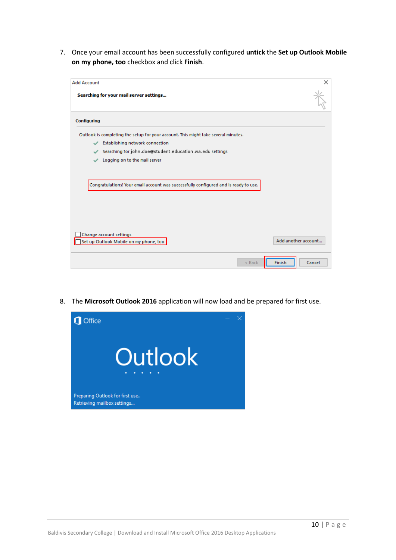7. Once your email account has been successfully configured **untick** the **Set up Outlook Mobile on my phone, too** checkbox and click **Finish**.

| <b>Add Account</b>                                                                   | ×                   |
|--------------------------------------------------------------------------------------|---------------------|
| Searching for your mail server settings                                              |                     |
| Configuring                                                                          |                     |
| Outlook is completing the setup for your account. This might take several minutes.   |                     |
| Establishing network connection<br>✓                                                 |                     |
| Searching for john.doe@student.education.wa.edu settings<br>✓                        |                     |
| Logging on to the mail server<br>✓                                                   |                     |
| Congratulations! Your email account was successfully configured and is ready to use. |                     |
| Change account settings<br>Set up Outlook Mobile on my phone, too                    | Add another account |
| $<$ Back                                                                             | Finish<br>Cancel    |

8. The **Microsoft Outlook 2016** application will now load and be prepared for first use.

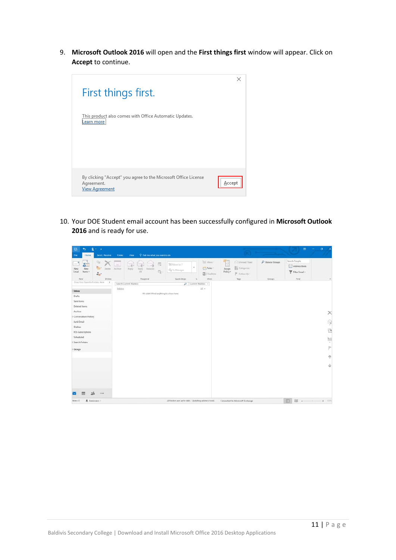9. **Microsoft Outlook 2016** will open and the **First things first** window will appear. Click on **Accept** to continue.



10. Your DOE Student email account has been successfully configured in **Microsoft Outlook 2016** and is ready for use.

| $2 + 1$<br>$\ddot{\phantom{1}}$<br>翳<br>Home:<br>Send / Receive<br>File                                 | V Tell me what you want to do<br>Folder<br><b>View</b>                      |                                                                                                                           |                                                                                                           |                            | $\omega$                                                | $\sigma$      |
|---------------------------------------------------------------------------------------------------------|-----------------------------------------------------------------------------|---------------------------------------------------------------------------------------------------------------------------|-----------------------------------------------------------------------------------------------------------|----------------------------|---------------------------------------------------------|---------------|
| 霜<br>徴<br>$=$<br>海中<br>Delate<br>New<br>New<br>Email<br>Items -<br>$\Delta_{\rm B}$ .<br>Delete.<br>New | 霞<br>$\sim$<br>Archive<br>Reply<br>Reply.<br>Forward<br>听<br>All<br>Respond | Move-<br>Move to: ?<br>۰<br><b>Rules-</b><br>C. To Manager.<br><b>Di</b> OneNote<br>Quick Steps<br>Move<br>$\mathbb{F}_q$ | E<br>G Unread/Rmad<br>Eli Categorice -<br>Assign<br>Policy *<br>$\blacktriangleright$ Follow Up -<br>Tags | P Browse Groups<br>Groups: | Search People<br>Address Book<br>Filter Email +<br>Find | $\mathcal{A}$ |
| Drag Your Favorite Folders Here<br>×                                                                    | Search Current Mailbox                                                      | $D$ Current Mailbox +                                                                                                     |                                                                                                           |                            |                                                         |               |
| Inbox                                                                                                   | Inbox<br>We didn't find anything to show here.                              | $\mathbb{A} \mathbb{H}$ .                                                                                                 |                                                                                                           |                            |                                                         |               |
| Drafts<br>Sent Items                                                                                    |                                                                             |                                                                                                                           |                                                                                                           |                            |                                                         |               |
| Deleted items                                                                                           |                                                                             |                                                                                                                           |                                                                                                           |                            |                                                         |               |
| Archive                                                                                                 |                                                                             |                                                                                                                           |                                                                                                           |                            |                                                         | ×             |
| Conversation History                                                                                    |                                                                             |                                                                                                                           |                                                                                                           |                            |                                                         |               |
| Junk Email                                                                                              |                                                                             |                                                                                                                           |                                                                                                           |                            |                                                         | Ģ             |
| Outbox                                                                                                  |                                                                             |                                                                                                                           |                                                                                                           |                            |                                                         | <sup>o</sup>  |
| RSS Subscriptions                                                                                       |                                                                             |                                                                                                                           |                                                                                                           |                            |                                                         |               |
| Scheduled                                                                                               |                                                                             |                                                                                                                           |                                                                                                           |                            |                                                         | Ļ             |
| Search Folders                                                                                          |                                                                             |                                                                                                                           |                                                                                                           |                            |                                                         |               |
| Groups                                                                                                  |                                                                             |                                                                                                                           |                                                                                                           |                            |                                                         | P             |
|                                                                                                         |                                                                             |                                                                                                                           |                                                                                                           |                            |                                                         | $\Phi$        |
|                                                                                                         |                                                                             |                                                                                                                           |                                                                                                           |                            |                                                         | v             |
|                                                                                                         |                                                                             |                                                                                                                           |                                                                                                           |                            |                                                         |               |
|                                                                                                         |                                                                             |                                                                                                                           |                                                                                                           |                            |                                                         |               |
| 28<br>                                                                                                  |                                                                             |                                                                                                                           |                                                                                                           |                            |                                                         |               |
| <b>卷</b> Reminders: 1<br>items: 0                                                                       |                                                                             | All folders are up to date. Updating address book.                                                                        | Connected to: Microsoft Exchange                                                                          |                            | 四 照 --                                                  | $+ 100%$      |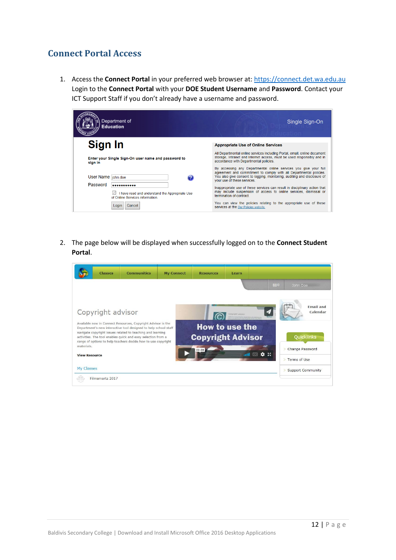## <span id="page-12-0"></span>**Connect Portal Access**

1. Access the **Connect Portal** in your preferred web browser at: [https://connect.det.wa.edu.au](https://connect.det.wa.edu.au/) Login to the **Connect Portal** with your **DOE Student Username** and **Password**. Contact your ICT Support Staff if you don't already have a username and password.

| Department of<br><b>Education</b>                                                                            | Single Sign-On                                                                                                                                                                                                                                    |
|--------------------------------------------------------------------------------------------------------------|---------------------------------------------------------------------------------------------------------------------------------------------------------------------------------------------------------------------------------------------------|
| Sign In                                                                                                      | <b>Appropriate Use of Online Services</b>                                                                                                                                                                                                         |
| Enter your Single Sign-On user name and password to<br>sign in                                               | All Departmental online services including Portal, email, online document<br>storage, Intranet and Internet access, must be used responsibly and in<br>accordance with Departmental policies.                                                     |
| User Name  john.doe                                                                                          | By accessing any Departmental online services you give your full<br>agreement and commitment to comply with all Departmental policies.<br>You also give consent to logging, monitoring, auditing and disclosure of<br>vour use of these services. |
| Password<br>-----------<br>I have read and understand the Appropriate Use<br>of Online Services information. | Inappropriate use of these services can result in disciplinary action that<br>may include suspension of access to online services, dismissal or<br>termination of contract                                                                        |
| Cancel<br>Logir                                                                                              | You can view the policies relating to the appropriate use of these<br>services at the Our Policies website.                                                                                                                                       |

2. The page below will be displayed when successfully logged on to the **Connect Student Portal**.